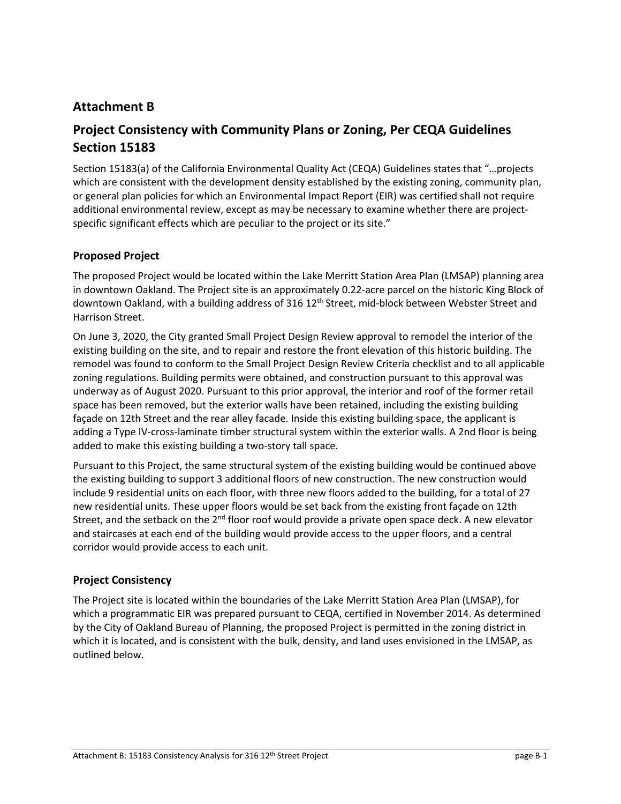# **Attachment B**

# **Project Consistency with Community Plans or Zoning, Per CEQA Guidelines Section 15183**

Section 15183(a) of the California Environmental Quality Act (CEQA) Guidelines states that "…projects which are consistent with the development density established by the existing zoning, community plan, or general plan policies for which an Environmental Impact Report (EIR) was certified shall not require additional environmental review, except as may be necessary to examine whether there are projectspecific significant effects which are peculiar to the project or its site."

# **Proposed Project**

The proposed Project would be located within the Lake Merritt Station Area Plan (LMSAP) planning area in downtown Oakland. The Project site is an approximately 0.22‐acre parcel on the historic King Block of downtown Oakland, with a building address of 316 12<sup>th</sup> Street, mid-block between Webster Street and Harrison Street.

On June 3, 2020, the City granted Small Project Design Review approval to remodel the interior of the existing building on the site, and to repair and restore the front elevation of this historic building. The remodel was found to conform to the Small Project Design Review Criteria checklist and to all applicable zoning regulations. Building permits were obtained, and construction pursuant to this approval was underway as of August 2020. Pursuant to this prior approval, the interior and roof of the former retail space has been removed, but the exterior walls have been retained, including the existing building façade on 12th Street and the rear alley facade. Inside this existing building space, the applicant is adding a Type IV‐cross‐laminate timber structural system within the exterior walls. A 2nd floor is being added to make this existing building a two‐story tall space.

Pursuant to this Project, the same structural system of the existing building would be continued above the existing building to support 3 additional floors of new construction. The new construction would include 9 residential units on each floor, with three new floors added to the building, for a total of 27 new residential units. These upper floors would be set back from the existing front façade on 12th Street, and the setback on the  $2<sup>nd</sup>$  floor roof would provide a private open space deck. A new elevator and staircases at each end of the building would provide access to the upper floors, and a central corridor would provide access to each unit.

### **Project Consistency**

The Project site is located within the boundaries of the Lake Merritt Station Area Plan (LMSAP), for which a programmatic EIR was prepared pursuant to CEQA, certified in November 2014. As determined by the City of Oakland Bureau of Planning, the proposed Project is permitted in the zoning district in which it is located, and is consistent with the bulk, density, and land uses envisioned in the LMSAP, as outlined below.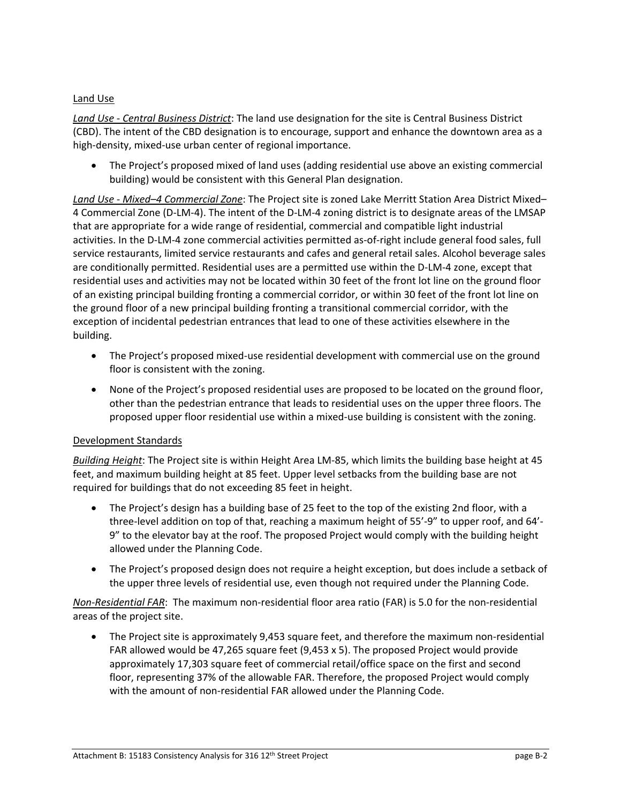## Land Use

*Land Use ‐ Central Business District*: The land use designation for the site is Central Business District (CBD). The intent of the CBD designation is to encourage, support and enhance the downtown area as a high-density, mixed-use urban center of regional importance.

 The Project's proposed mixed of land uses (adding residential use above an existing commercial building) would be consistent with this General Plan designation.

*Land Use ‐ Mixed–4 Commercial Zone*: The Project site is zoned Lake Merritt Station Area District Mixed– 4 Commercial Zone (D‐LM‐4). The intent of the D‐LM‐4 zoning district is to designate areas of the LMSAP that are appropriate for a wide range of residential, commercial and compatible light industrial activities. In the D‐LM‐4 zone commercial activities permitted as‐of‐right include general food sales, full service restaurants, limited service restaurants and cafes and general retail sales. Alcohol beverage sales are conditionally permitted. Residential uses are a permitted use within the D-LM-4 zone, except that residential uses and activities may not be located within 30 feet of the front lot line on the ground floor of an existing principal building fronting a commercial corridor, or within 30 feet of the front lot line on the ground floor of a new principal building fronting a transitional commercial corridor, with the exception of incidental pedestrian entrances that lead to one of these activities elsewhere in the building.

- The Project's proposed mixed-use residential development with commercial use on the ground floor is consistent with the zoning.
- None of the Project's proposed residential uses are proposed to be located on the ground floor, other than the pedestrian entrance that leads to residential uses on the upper three floors. The proposed upper floor residential use within a mixed‐use building is consistent with the zoning.

### Development Standards

*Building Height*: The Project site is within Height Area LM‐85, which limits the building base height at 45 feet, and maximum building height at 85 feet. Upper level setbacks from the building base are not required for buildings that do not exceeding 85 feet in height.

- The Project's design has a building base of 25 feet to the top of the existing 2nd floor, with a three‐level addition on top of that, reaching a maximum height of 55'‐9" to upper roof, and 64'‐ 9" to the elevator bay at the roof. The proposed Project would comply with the building height allowed under the Planning Code.
- The Project's proposed design does not require a height exception, but does include a setback of the upper three levels of residential use, even though not required under the Planning Code.

*Non‐Residential FAR*: The maximum non‐residential floor area ratio (FAR) is 5.0 for the non‐residential areas of the project site.

 The Project site is approximately 9,453 square feet, and therefore the maximum non‐residential FAR allowed would be 47,265 square feet (9,453 x 5). The proposed Project would provide approximately 17,303 square feet of commercial retail/office space on the first and second floor, representing 37% of the allowable FAR. Therefore, the proposed Project would comply with the amount of non-residential FAR allowed under the Planning Code.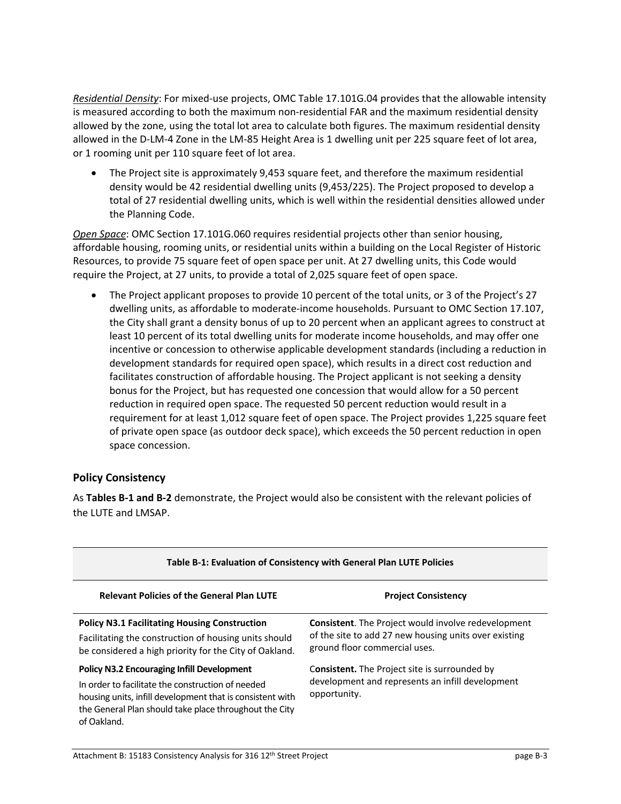*Residential Density*: For mixed‐use projects, OMC Table 17.101G.04 provides that the allowable intensity is measured according to both the maximum non-residential FAR and the maximum residential density allowed by the zone, using the total lot area to calculate both figures. The maximum residential density allowed in the D-LM-4 Zone in the LM-85 Height Area is 1 dwelling unit per 225 square feet of lot area, or 1 rooming unit per 110 square feet of lot area.

 The Project site is approximately 9,453 square feet, and therefore the maximum residential density would be 42 residential dwelling units (9,453/225). The Project proposed to develop a total of 27 residential dwelling units, which is well within the residential densities allowed under the Planning Code.

*Open Space*: OMC Section 17.101G.060 requires residential projects other than senior housing, affordable housing, rooming units, or residential units within a building on the Local Register of Historic Resources, to provide 75 square feet of open space per unit. At 27 dwelling units, this Code would require the Project, at 27 units, to provide a total of 2,025 square feet of open space.

 The Project applicant proposes to provide 10 percent of the total units, or 3 of the Project's 27 dwelling units, as affordable to moderate‐income households. Pursuant to OMC Section 17.107, the City shall grant a density bonus of up to 20 percent when an applicant agrees to construct at least 10 percent of its total dwelling units for moderate income households, and may offer one incentive or concession to otherwise applicable development standards (including a reduction in development standards for required open space), which results in a direct cost reduction and facilitates construction of affordable housing. The Project applicant is not seeking a density bonus for the Project, but has requested one concession that would allow for a 50 percent reduction in required open space. The requested 50 percent reduction would result in a requirement for at least 1,012 square feet of open space. The Project provides 1,225 square feet of private open space (as outdoor deck space), which exceeds the 50 percent reduction in open space concession.

# **Policy Consistency**

As **Tables B‐1 and B‐2** demonstrate, the Project would also be consistent with the relevant policies of the LUTE and LMSAP.

| Table B-1: Evaluation of Consistency with General Plan LUTE Policies                                                                                                                                                                         |                                                                                                                                                      |  |
|----------------------------------------------------------------------------------------------------------------------------------------------------------------------------------------------------------------------------------------------|------------------------------------------------------------------------------------------------------------------------------------------------------|--|
| <b>Relevant Policies of the General Plan LUTE</b>                                                                                                                                                                                            | <b>Project Consistency</b>                                                                                                                           |  |
| <b>Policy N3.1 Facilitating Housing Construction</b><br>Facilitating the construction of housing units should<br>be considered a high priority for the City of Oakland.                                                                      | <b>Consistent.</b> The Project would involve redevelopment<br>of the site to add 27 new housing units over existing<br>ground floor commercial uses. |  |
| <b>Policy N3.2 Encouraging Infill Development</b><br>In order to facilitate the construction of needed<br>housing units, infill development that is consistent with<br>the General Plan should take place throughout the City<br>of Oakland. | <b>Consistent.</b> The Project site is surrounded by<br>development and represents an infill development<br>opportunity.                             |  |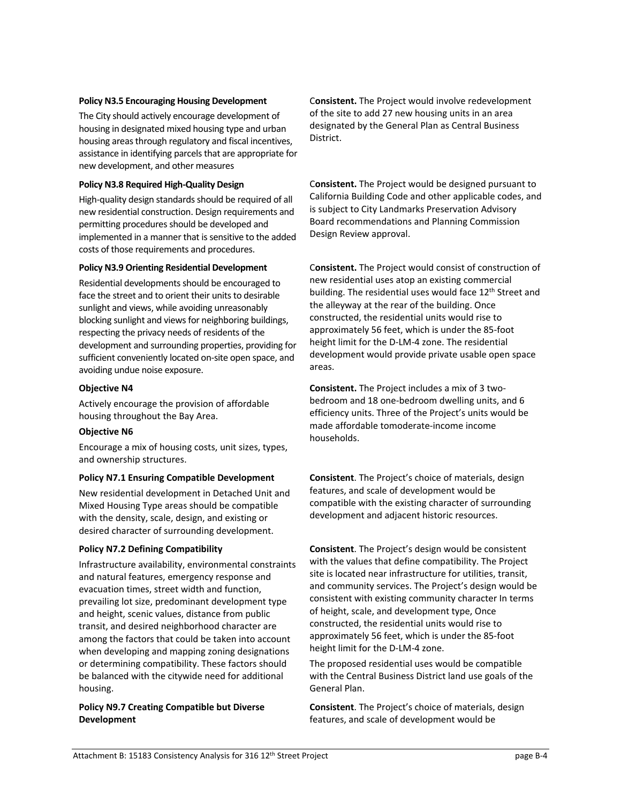#### **Policy N3.5 Encouraging Housing Development**

The City should actively encourage development of housing in designated mixed housing type and urban housing areas through regulatory and fiscal incentives, assistance in identifying parcels that are appropriate for new development, and other measures

#### **Policy N3.8 Required High‐Quality Design**

High-quality design standards should be required of all new residential construction. Design requirements and permitting procedures should be developed and implemented in a manner that is sensitive to the added costs of those requirements and procedures.

#### **Policy N3.9 Orienting Residential Development**

Residential developments should be encouraged to face the street and to orient their units to desirable sunlight and views, while avoiding unreasonably blocking sunlight and views for neighboring buildings, respecting the privacy needs of residents of the development and surrounding properties, providing for sufficient conveniently located on-site open space, and avoiding undue noise exposure.

#### **Objective N4**

Actively encourage the provision of affordable housing throughout the Bay Area.

#### **Objective N6**

Encourage a mix of housing costs, unit sizes, types, and ownership structures.

#### **Policy N7.1 Ensuring Compatible Development**

New residential development in Detached Unit and Mixed Housing Type areas should be compatible with the density, scale, design, and existing or desired character of surrounding development.

#### **Policy N7.2 Defining Compatibility**

Infrastructure availability, environmental constraints and natural features, emergency response and evacuation times, street width and function, prevailing lot size, predominant development type and height, scenic values, distance from public transit, and desired neighborhood character are among the factors that could be taken into account when developing and mapping zoning designations or determining compatibility. These factors should be balanced with the citywide need for additional housing.

#### **Policy N9.7 Creating Compatible but Diverse Development**

C**onsistent.** The Project would involve redevelopment of the site to add 27 new housing units in an area designated by the General Plan as Central Business District.

C**onsistent.** The Project would be designed pursuant to California Building Code and other applicable codes, and is subject to City Landmarks Preservation Advisory Board recommendations and Planning Commission Design Review approval.

C**onsistent.** The Project would consist of construction of new residential uses atop an existing commercial building. The residential uses would face 12<sup>th</sup> Street and the alleyway at the rear of the building. Once constructed, the residential units would rise to approximately 56 feet, which is under the 85‐foot height limit for the D‐LM‐4 zone. The residential development would provide private usable open space areas.

**Consistent.** The Project includes a mix of 3 two‐ bedroom and 18 one‐bedroom dwelling units, and 6 efficiency units. Three of the Project's units would be made affordable tomoderate‐income income households.

**Consistent**. The Project's choice of materials, design features, and scale of development would be compatible with the existing character of surrounding development and adjacent historic resources.

**Consistent**. The Project's design would be consistent with the values that define compatibility. The Project site is located near infrastructure for utilities, transit, and community services. The Project's design would be consistent with existing community character In terms of height, scale, and development type, Once constructed, the residential units would rise to approximately 56 feet, which is under the 85‐foot height limit for the D‐LM‐4 zone.

The proposed residential uses would be compatible with the Central Business District land use goals of the General Plan.

**Consistent**. The Project's choice of materials, design features, and scale of development would be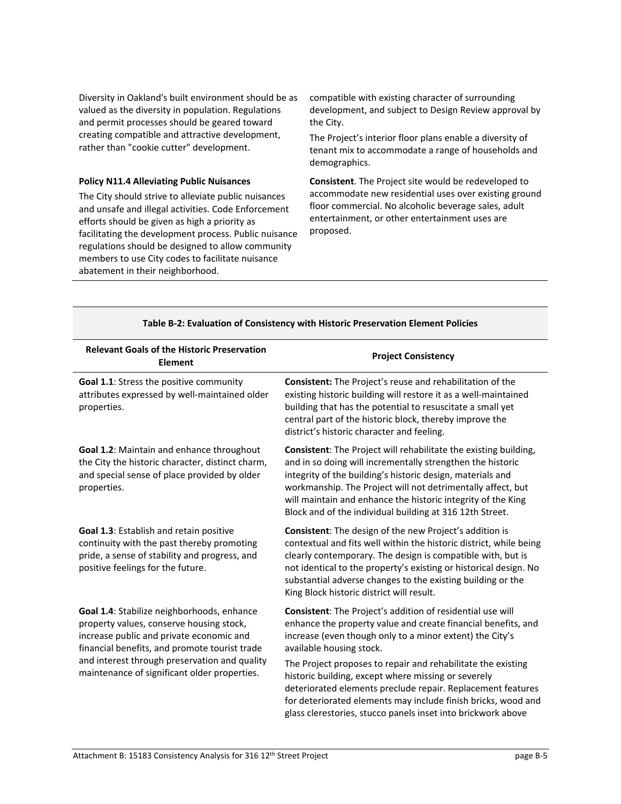Diversity in Oakland's built environment should be as valued as the diversity in population. Regulations and permit processes should be geared toward creating compatible and attractive development, rather than "cookie cutter" development.

#### **Policy N11.4 Alleviating Public Nuisances**

The City should strive to alleviate public nuisances and unsafe and illegal activities. Code Enforcement efforts should be given as high a priority as facilitating the development process. Public nuisance regulations should be designed to allow community members to use City codes to facilitate nuisance abatement in their neighborhood.

compatible with existing character of surrounding development, and subject to Design Review approval by the City.

The Project's interior floor plans enable a diversity of tenant mix to accommodate a range of households and demographics.

**Consistent**. The Project site would be redeveloped to accommodate new residential uses over existing ground floor commercial. No alcoholic beverage sales, adult entertainment, or other entertainment uses are proposed.

| <b>Relevant Goals of the Historic Preservation</b><br><b>Element</b>                                                                                                                                                                                                                 | <b>Project Consistency</b>                                                                                                                                                                                                                                                                                                                                                                     |
|--------------------------------------------------------------------------------------------------------------------------------------------------------------------------------------------------------------------------------------------------------------------------------------|------------------------------------------------------------------------------------------------------------------------------------------------------------------------------------------------------------------------------------------------------------------------------------------------------------------------------------------------------------------------------------------------|
| Goal 1.1: Stress the positive community<br>attributes expressed by well-maintained older<br>properties.                                                                                                                                                                              | Consistent: The Project's reuse and rehabilitation of the<br>existing historic building will restore it as a well-maintained<br>building that has the potential to resuscitate a small yet<br>central part of the historic block, thereby improve the<br>district's historic character and feeling.                                                                                            |
| <b>Goal 1.2: Maintain and enhance throughout</b><br>the City the historic character, distinct charm,<br>and special sense of place provided by older<br>properties.                                                                                                                  | <b>Consistent:</b> The Project will rehabilitate the existing building,<br>and in so doing will incrementally strengthen the historic<br>integrity of the building's historic design, materials and<br>workmanship. The Project will not detrimentally affect, but<br>will maintain and enhance the historic integrity of the King<br>Block and of the individual building at 316 12th Street. |
| Goal 1.3: Establish and retain positive<br>continuity with the past thereby promoting<br>pride, a sense of stability and progress, and<br>positive feelings for the future.                                                                                                          | <b>Consistent:</b> The design of the new Project's addition is<br>contextual and fits well within the historic district, while being<br>clearly contemporary. The design is compatible with, but is<br>not identical to the property's existing or historical design. No<br>substantial adverse changes to the existing building or the<br>King Block historic district will result.           |
| Goal 1.4: Stabilize neighborhoods, enhance<br>property values, conserve housing stock,<br>increase public and private economic and<br>financial benefits, and promote tourist trade<br>and interest through preservation and quality<br>maintenance of significant older properties. | Consistent: The Project's addition of residential use will<br>enhance the property value and create financial benefits, and<br>increase (even though only to a minor extent) the City's<br>available housing stock.                                                                                                                                                                            |
|                                                                                                                                                                                                                                                                                      | The Project proposes to repair and rehabilitate the existing<br>historic building, except where missing or severely<br>deteriorated elements preclude repair. Replacement features<br>for deteriorated elements may include finish bricks, wood and<br>glass clerestories, stucco panels inset into brickwork above                                                                            |

#### **Table B‐2: Evaluation of Consistency with Historic Preservation Element Policies**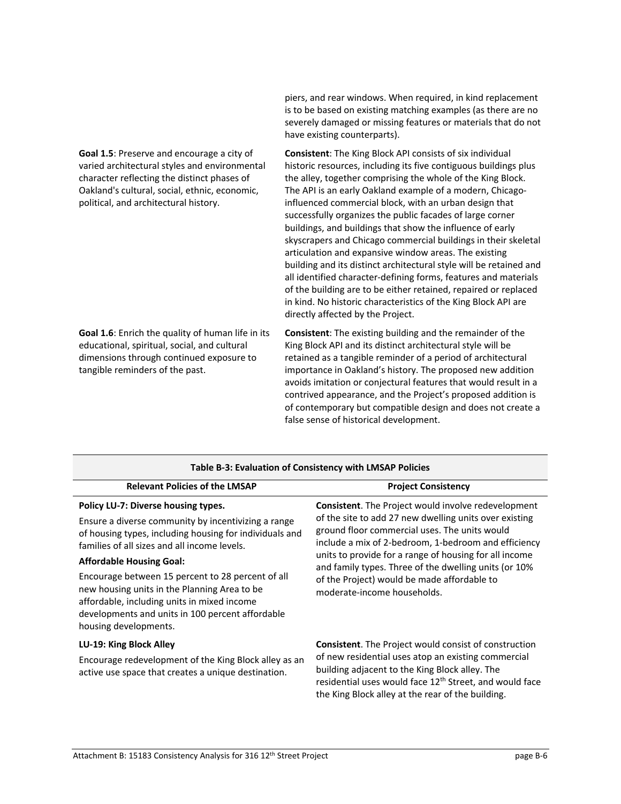**Goal 1.5**: Preserve and encourage a city of varied architectural styles and environmental character reflecting the distinct phases of Oakland's cultural, social, ethnic, economic, political, and architectural history.

**Goal 1.6**: Enrich the quality of human life in its educational, spiritual, social, and cultural dimensions through continued exposure to tangible reminders of the past.

piers, and rear windows. When required, in kind replacement is to be based on existing matching examples (as there are no severely damaged or missing features or materials that do not have existing counterparts).

**Consistent**: The King Block API consists of six individual historic resources, including its five contiguous buildings plus the alley, together comprising the whole of the King Block. The API is an early Oakland example of a modern, Chicago‐ influenced commercial block, with an urban design that successfully organizes the public facades of large corner buildings, and buildings that show the influence of early skyscrapers and Chicago commercial buildings in their skeletal articulation and expansive window areas. The existing building and its distinct architectural style will be retained and all identified character‐defining forms, features and materials of the building are to be either retained, repaired or replaced in kind. No historic characteristics of the King Block API are directly affected by the Project.

**Consistent**: The existing building and the remainder of the King Block API and its distinct architectural style will be retained as a tangible reminder of a period of architectural importance in Oakland's history. The proposed new addition avoids imitation or conjectural features that would result in a contrived appearance, and the Project's proposed addition is of contemporary but compatible design and does not create a false sense of historical development.

| Table B-3: Evaluation of Consistency with LMSAP Policies                                                                                                                                                                                                                                                                                                                                                                                                                  |                                                                                                                                                                                                                                                                                                                                                                                                                                |  |
|---------------------------------------------------------------------------------------------------------------------------------------------------------------------------------------------------------------------------------------------------------------------------------------------------------------------------------------------------------------------------------------------------------------------------------------------------------------------------|--------------------------------------------------------------------------------------------------------------------------------------------------------------------------------------------------------------------------------------------------------------------------------------------------------------------------------------------------------------------------------------------------------------------------------|--|
| <b>Relevant Policies of the LMSAP</b>                                                                                                                                                                                                                                                                                                                                                                                                                                     | <b>Project Consistency</b>                                                                                                                                                                                                                                                                                                                                                                                                     |  |
| Policy LU-7: Diverse housing types.<br>Ensure a diverse community by incentivizing a range<br>of housing types, including housing for individuals and<br>families of all sizes and all income levels.<br><b>Affordable Housing Goal:</b><br>Encourage between 15 percent to 28 percent of all<br>new housing units in the Planning Area to be<br>affordable, including units in mixed income<br>developments and units in 100 percent affordable<br>housing developments. | <b>Consistent.</b> The Project would involve redevelopment<br>of the site to add 27 new dwelling units over existing<br>ground floor commercial uses. The units would<br>include a mix of 2-bedroom, 1-bedroom and efficiency<br>units to provide for a range of housing for all income<br>and family types. Three of the dwelling units (or 10%<br>of the Project) would be made affordable to<br>moderate-income households. |  |
| LU-19: King Block Alley<br>Encourage redevelopment of the King Block alley as an<br>active use space that creates a unique destination.                                                                                                                                                                                                                                                                                                                                   | <b>Consistent.</b> The Project would consist of construction<br>of new residential uses atop an existing commercial<br>building adjacent to the King Block alley. The<br>residential uses would face 12 <sup>th</sup> Street, and would face<br>the King Block alley at the rear of the building.                                                                                                                              |  |

## **Table B‐3: Evaluation of Consistency with LMSAP Policies**